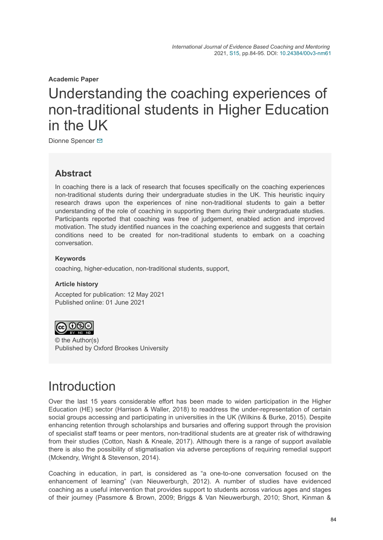**Academic Paper**

# Understanding the coaching experiences of non-traditional students in Higher Education in the UK

Dionne Spencer **⊠** 

### **Abstract**

In coaching there is a lack of research that focuses specifically on the coaching experiences non-traditional students during their undergraduate studies in the UK. This heuristic inquiry research draws upon the experiences of nine non-traditional students to gain a better understanding of the role of coaching in supporting them during their undergraduate studies. Participants reported that coaching was free of judgement, enabled action and improved motivation. The study identified nuances in the coaching experience and suggests that certain conditions need to be created for non-traditional students to embark on a coaching conversation.

#### **Keywords**

coaching, higher-education, non-traditional students, support,

#### **Article history**

Accepted for publication: 12 May 2021 Published online: 01 June 2021



© the Author(s) Published by Oxford Brookes University

## Introduction

Over the last 15 years considerable effort has been made to widen participation in the Higher Education (HE) sector (Harrison & Waller, 2018) to readdress the under-representation of certain social groups accessing and participating in universities in the UK (Wilkins & Burke, 2015). Despite enhancing retention through scholarships and bursaries and offering support through the provision of specialist staff teams or peer mentors, non-traditional students are at greater risk of withdrawing from their studies (Cotton, Nash & Kneale, 2017). Although there is a range of support available there is also the possibility of stigmatisation via adverse perceptions of requiring remedial support (Mckendry, Wright & Stevenson, 2014).

Coaching in education, in part, is considered as "a one-to-one conversation focused on the enhancement of learning" (van Nieuwerburgh, 2012). A number of studies have evidenced coaching as a useful intervention that provides support to students across various ages and stages of their journey (Passmore & Brown, 2009; Briggs & Van Nieuwerburgh, 2010; Short, Kinman &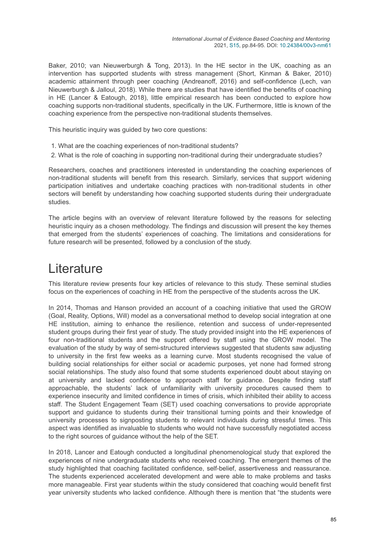Baker, 2010; van Nieuwerburgh & Tong, 2013). In the HE sector in the UK, coaching as an intervention has supported students with stress management (Short, Kinman & Baker, 2010) academic attainment through peer coaching (Andreanoff, 2016) and self-confidence (Lech, van Nieuwerburgh & Jalloul, 2018). While there are studies that have identified the benefits of coaching in HE (Lancer & Eatough, 2018), little empirical research has been conducted to explore how coaching supports non-traditional students, specifically in the UK. Furthermore, little is known of the coaching experience from the perspective non-traditional students themselves.

This heuristic inquiry was guided by two core questions:

- 1. What are the coaching experiences of non-traditional students?
- 2. What is the role of coaching in supporting non-traditional during their undergraduate studies?

Researchers, coaches and practitioners interested in understanding the coaching experiences of non-traditional students will benefit from this research. Similarly, services that support widening participation initiatives and undertake coaching practices with non-traditional students in other sectors will benefit by understanding how coaching supported students during their undergraduate studies.

The article begins with an overview of relevant literature followed by the reasons for selecting heuristic inquiry as a chosen methodology. The findings and discussion will present the key themes that emerged from the students' experiences of coaching. The limitations and considerations for future research will be presented, followed by a conclusion of the study.

## **Literature**

This literature review presents four key articles of relevance to this study. These seminal studies focus on the experiences of coaching in HE from the perspective of the students across the UK.

In 2014, Thomas and Hanson provided an account of a coaching initiative that used the GROW (Goal, Reality, Options, Will) model as a conversational method to develop social integration at one HE institution, aiming to enhance the resilience, retention and success of under-represented student groups during their first year of study. The study provided insight into the HE experiences of four non-traditional students and the support offered by staff using the GROW model. The evaluation of the study by way of semi-structured interviews suggested that students saw adjusting to university in the first few weeks as a learning curve. Most students recognised the value of building social relationships for either social or academic purposes, yet none had formed strong social relationships. The study also found that some students experienced doubt about staying on at university and lacked confidence to approach staff for guidance. Despite finding staff approachable, the students' lack of unfamiliarity with university procedures caused them to experience insecurity and limited confidence in times of crisis, which inhibited their ability to access staff. The Student Engagement Team (SET) used coaching conversations to provide appropriate support and guidance to students during their transitional turning points and their knowledge of university processes to signposting students to relevant individuals during stressful times. This aspect was identified as invaluable to students who would not have successfully negotiated access to the right sources of guidance without the help of the SET.

In 2018, Lancer and Eatough conducted a longitudinal phenomenological study that explored the experiences of nine undergraduate students who received coaching. The emergent themes of the study highlighted that coaching facilitated confidence, self-belief, assertiveness and reassurance. The students experienced accelerated development and were able to make problems and tasks more manageable. First year students within the study considered that coaching would benefit first year university students who lacked confidence. Although there is mention that "the students were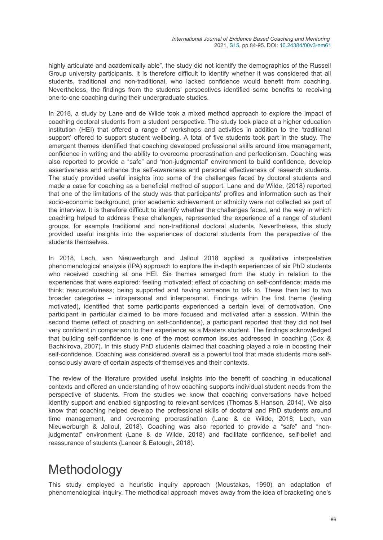highly articulate and academically able", the study did not identify the demographics of the Russell Group university participants. It is therefore difficult to identify whether it was considered that all students, traditional and non-traditional, who lacked confidence would benefit from coaching. Nevertheless, the findings from the students' perspectives identified some benefits to receiving one-to-one coaching during their undergraduate studies.

In 2018, a study by Lane and de Wilde took a mixed method approach to explore the impact of coaching doctoral students from a student perspective. The study took place at a higher education institution (HEI) that offered a range of workshops and activities in addition to the 'traditional support' offered to support student wellbeing. A total of five students took part in the study. The emergent themes identified that coaching developed professional skills around time management, confidence in writing and the ability to overcome procrastination and perfectionism. Coaching was also reported to provide a "safe" and "non-judgmental" environment to build confidence, develop assertiveness and enhance the self-awareness and personal effectiveness of research students. The study provided useful insights into some of the challenges faced by doctoral students and made a case for coaching as a beneficial method of support. Lane and de Wilde, (2018) reported that one of the limitations of the study was that participants' profiles and information such as their socio-economic background, prior academic achievement or ethnicity were not collected as part of the interview. It is therefore difficult to identify whether the challenges faced, and the way in which coaching helped to address these challenges, represented the experience of a range of student groups, for example traditional and non-traditional doctoral students. Nevertheless, this study provided useful insights into the experiences of doctoral students from the perspective of the students themselves.

In 2018, Lech, van Nieuwerburgh and Jalloul 2018 applied a qualitative interpretative phenomenological analysis (IPA) approach to explore the in-depth experiences of six PhD students who received coaching at one HEI. Six themes emerged from the study in relation to the experiences that were explored: feeling motivated; effect of coaching on self-confidence; made me think; resourcefulness; being supported and having someone to talk to. These then led to two broader categories – intrapersonal and interpersonal. Findings within the first theme (feeling motivated), identified that some participants experienced a certain level of demotivation. One participant in particular claimed to be more focused and motivated after a session. Within the second theme (effect of coaching on self-confidence), a participant reported that they did not feel very confident in comparison to their experience as a Masters student. The findings acknowledged that building self-confidence is one of the most common issues addressed in coaching (Cox & Bachkirova, 2007). In this study PhD students claimed that coaching played a role in boosting their self-confidence. Coaching was considered overall as a powerful tool that made students more selfconsciously aware of certain aspects of themselves and their contexts.

The review of the literature provided useful insights into the benefit of coaching in educational contexts and offered an understanding of how coaching supports individual student needs from the perspective of students. From the studies we know that coaching conversations have helped identify support and enabled signposting to relevant services (Thomas & Hanson, 2014). We also know that coaching helped develop the professional skills of doctoral and PhD students around time management, and overcoming procrastination (Lane & de Wilde, 2018; Lech, van Nieuwerburgh & Jalloul, 2018). Coaching was also reported to provide a "safe" and "nonjudgmental" environment (Lane & de Wilde, 2018) and facilitate confidence, self-belief and reassurance of students (Lancer & Eatough, 2018).

# Methodology

This study employed a heuristic inquiry approach (Moustakas, 1990) an adaptation of phenomenological inquiry. The methodical approach moves away from the idea of bracketing one's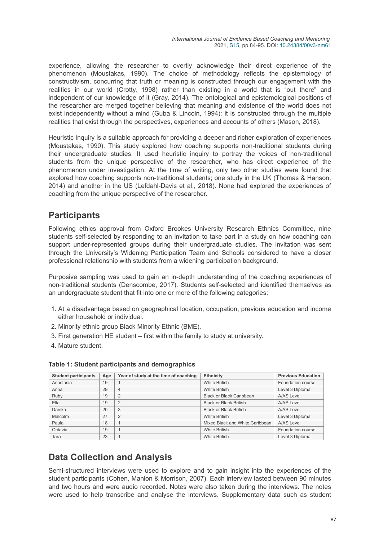experience, allowing the researcher to overtly acknowledge their direct experience of the phenomenon (Moustakas, 1990). The choice of methodology reflects the epistemology of constructivism, concurring that truth or meaning is constructed through our engagement with the realities in our world (Crotty, 1998) rather than existing in a world that is "out there" and independent of our knowledge of it (Gray, 2014). The ontological and epistemological positions of the researcher are merged together believing that meaning and existence of the world does not exist independently without a mind (Guba & Lincoln, 1994): it is constructed through the multiple realities that exist through the perspectives, experiences and accounts of others (Mason, 2018).

Heuristic Inquiry is a suitable approach for providing a deeper and richer exploration of experiences (Moustakas, 1990). This study explored how coaching supports non-traditional students during their undergraduate studies. It used heuristic inquiry to portray the voices of non-traditional students from the unique perspective of the researcher, who has direct experience of the phenomenon under investigation. At the time of writing, only two other studies were found that explored how coaching supports non-traditional students; one study in the UK (Thomas & Hanson, 2014) and another in the US (Lefdahl-Davis et al., 2018). None had explored the experiences of coaching from the unique perspective of the researcher.

### **Participants**

Following ethics approval from Oxford Brookes University Research Ethnics Committee, nine students self-selected by responding to an invitation to take part in a study on how coaching can support under-represented groups during their undergraduate studies. The invitation was sent through the University's Widening Participation Team and Schools considered to have a closer professional relationship with students from a widening participation background.

Purposive sampling was used to gain an in-depth understanding of the coaching experiences of non-traditional students (Denscombe, 2017). Students self-selected and identified themselves as an undergraduate student that fit into one or more of the following categories:

- 1. At a disadvantage based on geographical location, occupation, previous education and income either household or individual.
- 2. Minority ethnic group Black Minority Ethnic (BME).
- 3. First generation HE student first within the family to study at university.
- 4. Mature student.

| <b>Student participants</b> | Age | Year of study at the time of coaching | <b>Ethnicity</b>                | <b>Previous Education</b> |
|-----------------------------|-----|---------------------------------------|---------------------------------|---------------------------|
| Anastasia                   | 19  |                                       | <b>White British</b>            | Foundation course         |
| Anna                        | 29  | $\overline{4}$                        | <b>White British</b>            | Level 3 Diploma           |
| Ruby                        | 19  | $\overline{2}$                        | Black or Black Caribbean        | A/AS Level                |
| Ella                        | 19  | $\overline{2}$                        | <b>Black or Black British</b>   | A/AS Level                |
| Danika                      | 20  | 3                                     | <b>Black or Black British</b>   | A/AS Level                |
| Malcolm                     | 27  | $\overline{2}$                        | <b>White British</b>            | Level 3 Diploma           |
| Paula                       | 18  |                                       | Mixed Black and White Caribbean | A/AS Level                |
| Octavia                     | 19  |                                       | <b>White British</b>            | Foundation course         |
| Tara                        | 23  |                                       | <b>White British</b>            | Level 3 Diploma           |

#### **Table 1: Student participants and demographics**

### **Data Collection and Analysis**

Semi-structured interviews were used to explore and to gain insight into the experiences of the student participants (Cohen, Manion & Morrison, 2007). Each interview lasted between 90 minutes and two hours and were audio recorded. Notes were also taken during the interviews. The notes were used to help transcribe and analyse the interviews. Supplementary data such as student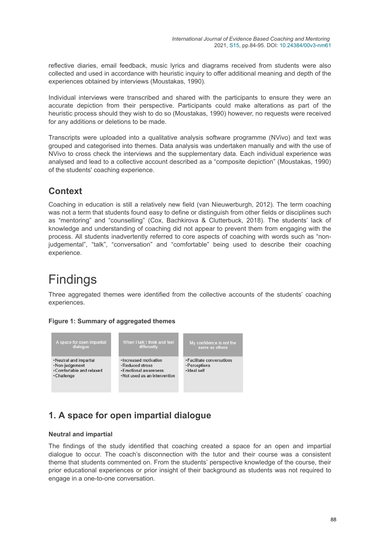reflective diaries, email feedback, music lyrics and diagrams received from students were also collected and used in accordance with heuristic inquiry to offer additional meaning and depth of the experiences obtained by interviews (Moustakas, 1990).

Individual interviews were transcribed and shared with the participants to ensure they were an accurate depiction from their perspective. Participants could make alterations as part of the heuristic process should they wish to do so (Moustakas, 1990) however, no requests were received for any additions or deletions to be made.

Transcripts were uploaded into a qualitative analysis software programme (NVivo) and text was grouped and categorised into themes. Data analysis was undertaken manually and with the use of NVivo to cross check the interviews and the supplementary data. Each individual experience was analysed and lead to a collective account described as a "composite depiction" (Moustakas, 1990) of the students' coaching experience.

### **Context**

Coaching in education is still a relatively new field (van Nieuwerburgh, 2012). The term coaching was not a term that students found easy to define or distinguish from other fields or disciplines such as "mentoring" and "counselling" (Cox, Bachkirova & Clutterbuck, 2018). The students' lack of knowledge and understanding of coaching did not appear to prevent them from engaging with the process. All students inadvertently referred to core aspects of coaching with words such as "nonjudgemental", "talk", "conversation" and "comfortable" being used to describe their coaching experience.

# Findings

Three aggregated themes were identified from the collective accounts of the students' coaching experiences.



### **Figure 1: Summary of aggregated themes**

### **1. A space for open impartial dialogue**

#### **Neutral and impartial**

The findings of the study identified that coaching created a space for an open and impartial dialogue to occur. The coach's disconnection with the tutor and their course was a consistent theme that students commented on. From the students' perspective knowledge of the course, their prior educational experiences or prior insight of their background as students was not required to engage in a one-to-one conversation.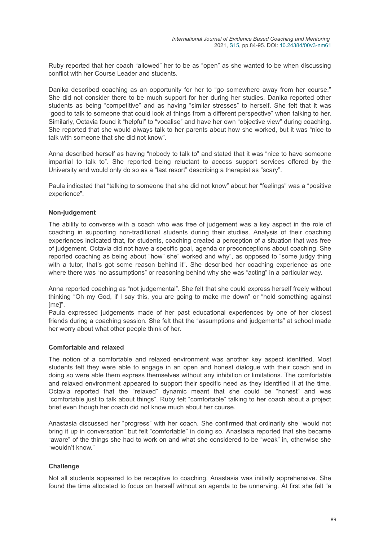Ruby reported that her coach "allowed" her to be as "open" as she wanted to be when discussing conflict with her Course Leader and students.

Danika described coaching as an opportunity for her to "go somewhere away from her course." She did not consider there to be much support for her during her studies. Danika reported other students as being "competitive" and as having "similar stresses" to herself. She felt that it was "good to talk to someone that could look at things from a different perspective" when talking to her. Similarly, Octavia found it "helpful" to "vocalise" and have her own "objective view" during coaching. She reported that she would always talk to her parents about how she worked, but it was "nice to talk with someone that she did not know".

Anna described herself as having "nobody to talk to" and stated that it was "nice to have someone impartial to talk to". She reported being reluctant to access support services offered by the University and would only do so as a "last resort" describing a therapist as "scary".

Paula indicated that "talking to someone that she did not know" about her "feelings" was a "positive experience".

#### **Non-judgement**

The ability to converse with a coach who was free of judgement was a key aspect in the role of coaching in supporting non-traditional students during their studies. Analysis of their coaching experiences indicated that, for students, coaching created a perception of a situation that was free of judgement. Octavia did not have a specific goal, agenda or preconceptions about coaching. She reported coaching as being about "how" she" worked and why", as opposed to "some judgy thing with a tutor, that's got some reason behind it". She described her coaching experience as one where there was "no assumptions" or reasoning behind why she was "acting" in a particular way.

Anna reported coaching as "not judgemental". She felt that she could express herself freely without thinking "Oh my God, if I say this, you are going to make me down" or "hold something against [me]".

Paula expressed judgements made of her past educational experiences by one of her closest friends during a coaching session. She felt that the "assumptions and judgements" at school made her worry about what other people think of her.

#### **Comfortable and relaxed**

The notion of a comfortable and relaxed environment was another key aspect identified. Most students felt they were able to engage in an open and honest dialogue with their coach and in doing so were able them express themselves without any inhibition or limitations. The comfortable and relaxed environment appeared to support their specific need as they identified it at the time. Octavia reported that the "relaxed" dynamic meant that she could be "honest" and was "comfortable just to talk about things". Ruby felt "comfortable" talking to her coach about a project brief even though her coach did not know much about her course.

Anastasia discussed her "progress" with her coach. She confirmed that ordinarily she "would not bring it up in conversation" but felt "comfortable" in doing so. Anastasia reported that she became "aware" of the things she had to work on and what she considered to be "weak" in, otherwise she "wouldn't know."

#### **Challenge**

Not all students appeared to be receptive to coaching. Anastasia was initially apprehensive. She found the time allocated to focus on herself without an agenda to be unnerving. At first she felt "a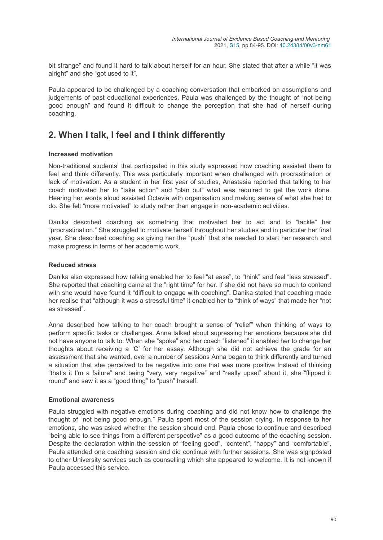bit strange" and found it hard to talk about herself for an hour. She stated that after a while "it was alright" and she "got used to it".

Paula appeared to be challenged by a coaching conversation that embarked on assumptions and judgements of past educational experiences. Paula was challenged by the thought of "not being good enough" and found it difficult to change the perception that she had of herself during coaching.

### **2. When I talk, I feel and I think differently**

#### **Increased motivation**

Non-traditional students' that participated in this study expressed how coaching assisted them to feel and think differently. This was particularly important when challenged with procrastination or lack of motivation. As a student in her first year of studies, Anastasia reported that talking to her coach motivated her to "take action" and "plan out" what was required to get the work done. Hearing her words aloud assisted Octavia with organisation and making sense of what she had to do. She felt "more motivated" to study rather than engage in non-academic activities.

Danika described coaching as something that motivated her to act and to "tackle" her "procrastination." She struggled to motivate herself throughout her studies and in particular her final year. She described coaching as giving her the "push" that she needed to start her research and make progress in terms of her academic work.

#### **Reduced stress**

Danika also expressed how talking enabled her to feel "at ease", to "think" and feel "less stressed". She reported that coaching came at the "right time" for her. If she did not have so much to contend with she would have found it "difficult to engage with coaching". Danika stated that coaching made her realise that "although it was a stressful time" it enabled her to "think of ways" that made her "not as stressed".

Anna described how talking to her coach brought a sense of "relief" when thinking of ways to perform specific tasks or challenges. Anna talked about supressing her emotions because she did not have anyone to talk to. When she "spoke" and her coach "listened" it enabled her to change her thoughts about receiving a 'C' for her essay. Although she did not achieve the grade for an assessment that she wanted, over a number of sessions Anna began to think differently and turned a situation that she perceived to be negative into one that was more positive Instead of thinking "that's it I'm a failure" and being "very, very negative" and "really upset" about it, she "flipped it round" and saw it as a "good thing" to "push" herself.

#### **Emotional awareness**

Paula struggled with negative emotions during coaching and did not know how to challenge the thought of "not being good enough." Paula spent most of the session crying. In response to her emotions, she was asked whether the session should end. Paula chose to continue and described "being able to see things from a different perspective" as a good outcome of the coaching session. Despite the declaration within the session of "feeling good", "content", "happy" and "comfortable", Paula attended one coaching session and did continue with further sessions. She was signposted to other University services such as counselling which she appeared to welcome. It is not known if Paula accessed this service.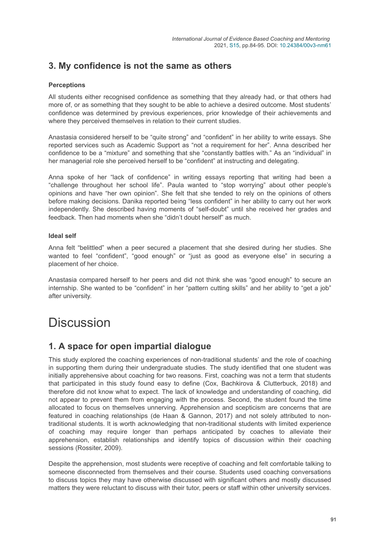### **3. My confidence is not the same as others**

### **Perceptions**

All students either recognised confidence as something that they already had, or that others had more of, or as something that they sought to be able to achieve a desired outcome. Most students' confidence was determined by previous experiences, prior knowledge of their achievements and where they perceived themselves in relation to their current studies.

Anastasia considered herself to be "quite strong" and "confident" in her ability to write essays. She reported services such as Academic Support as "not a requirement for her". Anna described her confidence to be a "mixture" and something that she "constantly battles with." As an "individual" in her managerial role she perceived herself to be "confident" at instructing and delegating.

Anna spoke of her "lack of confidence" in writing essays reporting that writing had been a "challenge throughout her school life". Paula wanted to "stop worrying" about other people's opinions and have "her own opinion". She felt that she tended to rely on the opinions of others before making decisions. Danika reported being "less confident" in her ability to carry out her work independently. She described having moments of "self-doubt" until she received her grades and feedback. Then had moments when she "didn't doubt herself" as much.

#### **Ideal self**

Anna felt "belittled" when a peer secured a placement that she desired during her studies. She wanted to feel "confident", "good enough" or "just as good as everyone else" in securing a placement of her choice.

Anastasia compared herself to her peers and did not think she was "good enough" to secure an internship. She wanted to be "confident" in her "pattern cutting skills" and her ability to "get a job" after university.

## **Discussion**

### **1. A space for open impartial dialogue**

This study explored the coaching experiences of non-traditional students' and the role of coaching in supporting them during their undergraduate studies. The study identified that one student was initially apprehensive about coaching for two reasons. First, coaching was not a term that students that participated in this study found easy to define (Cox, Bachkirova & Clutterbuck, 2018) and therefore did not know what to expect. The lack of knowledge and understanding of coaching, did not appear to prevent them from engaging with the process. Second, the student found the time allocated to focus on themselves unnerving. Apprehension and scepticism are concerns that are featured in coaching relationships (de Haan & Gannon, 2017) and not solely attributed to nontraditional students. It is worth acknowledging that non-traditional students with limited experience of coaching may require longer than perhaps anticipated by coaches to alleviate their apprehension, establish relationships and identify topics of discussion within their coaching sessions (Rossiter, 2009).

Despite the apprehension, most students were receptive of coaching and felt comfortable talking to someone disconnected from themselves and their course. Students used coaching conversations to discuss topics they may have otherwise discussed with significant others and mostly discussed matters they were reluctant to discuss with their tutor, peers or staff within other university services.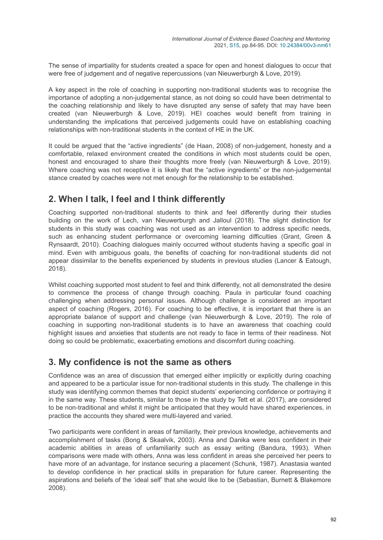The sense of impartiality for students created a space for open and honest dialogues to occur that were free of judgement and of negative repercussions (van Nieuwerburgh & Love, 2019).

A key aspect in the role of coaching in supporting non-traditional students was to recognise the importance of adopting a non-judgemental stance, as not doing so could have been detrimental to the coaching relationship and likely to have disrupted any sense of safety that may have been created (van Nieuwerburgh & Love, 2019). HEI coaches would benefit from training in understanding the implications that perceived judgements could have on establishing coaching relationships with non-traditional students in the context of HE in the UK.

It could be argued that the "active ingredients" (de Haan, 2008) of non-judgement, honesty and a comfortable, relaxed environment created the conditions in which most students could be open, honest and encouraged to share their thoughts more freely (van Nieuwerburgh & Love, 2019). Where coaching was not receptive it is likely that the "active ingredients" or the non-judgemental stance created by coaches were not met enough for the relationship to be established.

### **2. When I talk, I feel and I think differently**

Coaching supported non-traditional students to think and feel differently during their studies building on the work of Lech, van Nieuwerburgh and Jalloul (2018). The slight distinction for students in this study was coaching was not used as an intervention to address specific needs, such as enhancing student performance or overcoming learning difficulties (Grant, Green & Rynsaardt, 2010). Coaching dialogues mainly occurred without students having a specific goal in mind. Even with ambiguous goals, the benefits of coaching for non-traditional students did not appear dissimilar to the benefits experienced by students in previous studies (Lancer & Eatough, 2018).

Whilst coaching supported most student to feel and think differently, not all demonstrated the desire to commence the process of change through coaching. Paula in particular found coaching challenging when addressing personal issues. Although challenge is considered an important aspect of coaching (Rogers, 2016). For coaching to be effective, it is important that there is an appropriate balance of support and challenge (van Nieuwerburgh & Love, 2019). The role of coaching in supporting non-traditional students is to have an awareness that coaching could highlight issues and anxieties that students are not ready to face in terms of their readiness. Not doing so could be problematic, exacerbating emotions and discomfort during coaching.

### **3. My confidence is not the same as others**

Confidence was an area of discussion that emerged either implicitly or explicitly during coaching and appeared to be a particular issue for non-traditional students in this study. The challenge in this study was identifying common themes that depict students' experiencing confidence or portraying it in the same way. These students, similar to those in the study by Tett et al. (2017), are considered to be non-traditional and whilst it might be anticipated that they would have shared experiences, in practice the accounts they shared were multi-layered and varied.

Two participants were confident in areas of familiarity, their previous knowledge, achievements and accomplishment of tasks (Bong & Skaalvik, 2003). Anna and Danika were less confident in their academic abilities in areas of unfamiliarity such as essay writing (Bandura, 1993). When comparisons were made with others, Anna was less confident in areas she perceived her peers to have more of an advantage, for instance securing a placement (Schunk, 1987). Anastasia wanted to develop confidence in her practical skills in preparation for future career. Representing the aspirations and beliefs of the 'ideal self' that she would like to be (Sebastian, Burnett & Blakemore 2008).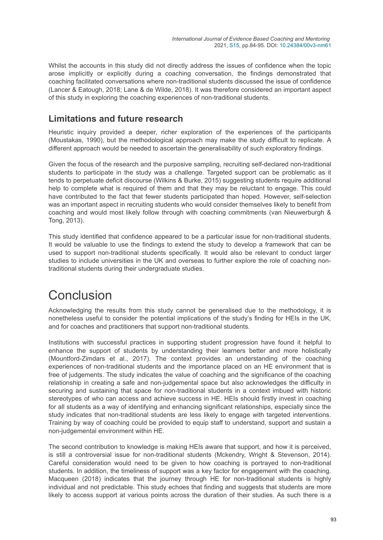Whilst the accounts in this study did not directly address the issues of confidence when the topic arose implicitly or explicitly during a coaching conversation, the findings demonstrated that coaching facilitated conversations where non-traditional students discussed the issue of confidence (Lancer & Eatough, 2018; Lane & de Wilde, 2018). It was therefore considered an important aspect of this study in exploring the coaching experiences of non-traditional students.

### **Limitations and future research**

Heuristic inquiry provided a deeper, richer exploration of the experiences of the participants (Moustakas, 1990), but the methodological approach may make the study difficult to replicate. A different approach would be needed to ascertain the generalisability of such exploratory findings.

Given the focus of the research and the purposive sampling, recruiting self-declared non-traditional students to participate in the study was a challenge. Targeted support can be problematic as it tends to perpetuate deficit discourse (Wilkins & Burke, 2015) suggesting students require additional help to complete what is required of them and that they may be reluctant to engage. This could have contributed to the fact that fewer students participated than hoped. However, self-selection was an important aspect in recruiting students who would consider themselves likely to benefit from coaching and would most likely follow through with coaching commitments (van Nieuwerburgh & Tong, 2013).

This study identified that confidence appeared to be a particular issue for non-traditional students. It would be valuable to use the findings to extend the study to develop a framework that can be used to support non-traditional students specifically. It would also be relevant to conduct larger studies to include universities in the UK and overseas to further explore the role of coaching nontraditional students during their undergraduate studies.

# Conclusion

Acknowledging the results from this study cannot be generalised due to the methodology, it is nonetheless useful to consider the potential implications of the study's finding for HEIs in the UK, and for coaches and practitioners that support non-traditional students.

Institutions with successful practices in supporting student progression have found it helpful to enhance the support of students by understanding their learners better and more holistically (Mountford-Zimdars et al., 2017). The context provides an understanding of the coaching experiences of non-traditional students and the importance placed on an HE environment that is free of judgements. The study indicates the value of coaching and the significance of the coaching relationship in creating a safe and non-judgemental space but also acknowledges the difficulty in securing and sustaining that space for non-traditional students in a context imbued with historic stereotypes of who can access and achieve success in HE. HEIs should firstly invest in coaching for all students as a way of identifying and enhancing significant relationships, especially since the study indicates that non-traditional students are less likely to engage with targeted interventions. Training by way of coaching could be provided to equip staff to understand, support and sustain a non-judgemental environment within HE.

The second contribution to knowledge is making HEIs aware that support, and how it is perceived, is still a controversial issue for non-traditional students (Mckendry, Wright & Stevenson, 2014). Careful consideration would need to be given to how coaching is portrayed to non-traditional students. In addition, the timeliness of support was a key factor for engagement with the coaching. Macqueen (2018) indicates that the journey through HE for non-traditional students is highly individual and not predictable. This study echoes that finding and suggests that students are more likely to access support at various points across the duration of their studies. As such there is a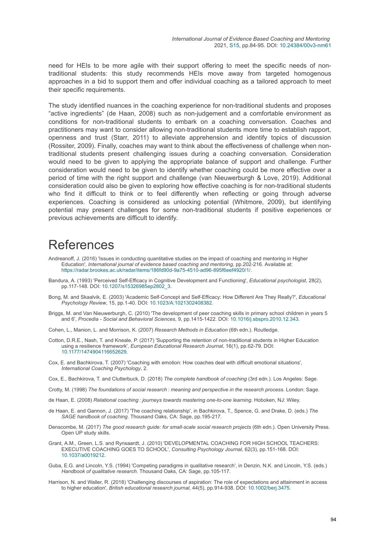need for HEIs to be more agile with their support offering to meet the specific needs of nontraditional students: this study recommends HEIs move away from targeted homogenous approaches in a bid to support them and offer individual coaching as a tailored approach to meet their specific requirements.

The study identified nuances in the coaching experience for non-traditional students and proposes "active ingredients" (de Haan, 2008) such as non-judgement and a comfortable environment as conditions for non-traditional students to embark on a coaching conversation. Coaches and practitioners may want to consider allowing non-traditional students more time to establish rapport, openness and trust (Starr, 2011) to alleviate apprehension and identify topics of discussion (Rossiter, 2009). Finally, coaches may want to think about the effectiveness of challenge when nontraditional students present challenging issues during a coaching conversation. Consideration would need to be given to applying the appropriate balance of support and challenge. Further consideration would need to be given to identify whether coaching could be more effective over a period of time with the right support and challenge (van Nieuwerburgh & Love, 2019). Additional consideration could also be given to exploring how effective coaching is for non-traditional students who find it difficult to think or to feel differently when reflecting or going through adverse experiences. Coaching is considered as unlocking potential (Whitmore, 2009), but identifying potential may present challenges for some non-traditional students if positive experiences or previous achievements are difficult to identify.

## References

- Andreanoff, J. (2016) 'Issues in conducting quantitative studies on the impact of coaching and mentoring in Higher Education', *International journal of evidence based coaching and mentoring*, pp.202-216. Available at: <https://radar.brookes.ac.uk/radar/items/186fd90d-9a75-4510-ad96-895f6eef4920/1/>.
- Bandura, A. (1993) 'Perceived Self-Efficacy in Cognitive Development and Functioning', *Educational psychologist*, 28(2), pp.117-148. DOI: [10.1207/s15326985ep2802\\_3.](https://doi.org/10.1207/s15326985ep2802_3)
- Bong, M. and Skaalvik, E. (2003) 'Academic Self-Concept and Self-Efficacy: How Different Are They Really?', *Educational Psychology Review*, 15, pp.1-40. DOI: [10.1023/A:1021302408382](https://doi.org/10.1023/A:1021302408382).
- Briggs, M. and Van Nieuwerburgh, C. (2010) 'The development of peer coaching skills in primary school children in years 5 and 6', *Procedia - Social and Behavioral Sciences*, 9, pp.1415-1422. DOI: [10.1016/j.sbspro.2010.12.343.](https://doi.org/10.1016/j.sbspro.2010.12.343)

Cohen, L., Manion, L. and Morrison, K. (2007) *Research Methods in Education* (6th edn.). Routledge.

- Cotton, D.R.E., Nash, T. and Kneale, P. (2017) 'Supporting the retention of non-traditional students in Higher Education using a resilience framework', *European Educational Research Journal*, 16(1), pp.62-79. DOI: [10.1177/1474904116652629](https://doi.org/10.1177/1474904116652629).
- Cox, E. and Bachkirova, T. (2007) 'Coaching with emotion: How coaches deal with difficult emotional situations', *International Coaching Psychology*, 2.
- Cox, E., Bachkirova, T. and Clutterbuck, D. (2018) *The complete handbook of coaching* (3rd edn.). Los Angeles: Sage.
- Crotty, M. (1998) *The foundations of social research : meaning and perspective in the research process*. London: Sage.
- de Haan, E. (2008) *Relational coaching : journeys towards mastering one-to-one learning*. Hoboken, NJ: Wiley.
- de Haan, E. and Gannon, J. (2017) 'The coaching relationship', in Bachkirova, T., Spence, G. and Drake, D. (eds.) *The SAGE handbook of coaching*. Thousand Oaks, CA: Sage, pp.195-217.
- Denscombe, M. (2017) *The good research guide: for small-scale social research projects* (6th edn.). Open University Press. Open UP study skills.
- Grant, A.M., Green, L.S. and Rynsaardt, J. (2010) 'DEVELOPMENTAL COACHING FOR HIGH SCHOOL TEACHERS: EXECUTIVE COACHING GOES TO SCHOOL', *Consulting Psychology Journal*, 62(3), pp.151-168. DOI: [10.1037/a0019212](https://doi.org/10.1037/a0019212).
- Guba, E.G. and Lincoln, Y.S. (1994) 'Competing paradigms in qualitative research', in Denzin, N.K. and Lincoln, Y.S. (eds.) *Handbook of qualitative research*. Thousand Oaks, CA: Sage, pp.105-117.
- Harrison, N. and Waller, R. (2018) 'Challenging discourses of aspiration: The role of expectations and attainment in access to higher education', *British educational research journal*, 44(5), pp.914-938. DOI: [10.1002/berj.3475](https://doi.org/10.1002/berj.3475).